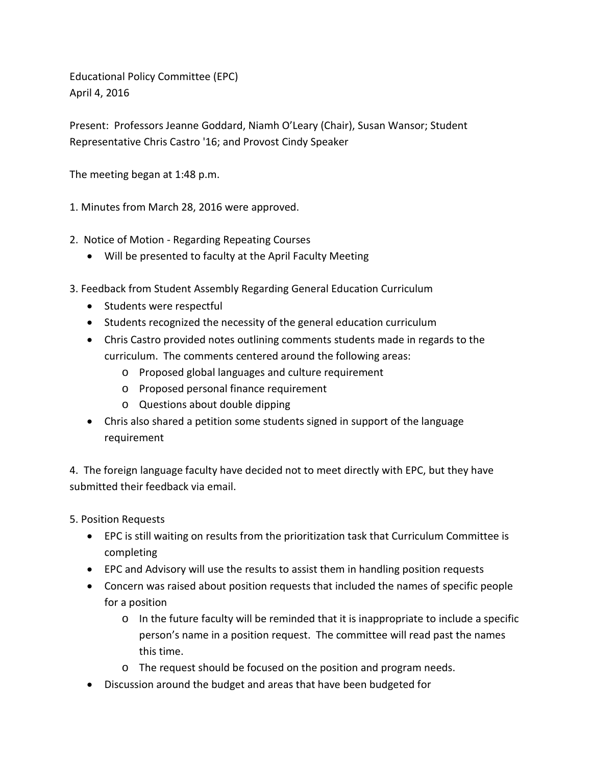Educational Policy Committee (EPC) April 4, 2016

Present: Professors Jeanne Goddard, Niamh O'Leary (Chair), Susan Wansor; Student Representative Chris Castro '16; and Provost Cindy Speaker

The meeting began at 1:48 p.m.

1. Minutes from March 28, 2016 were approved.

- 2. Notice of Motion Regarding Repeating Courses
	- Will be presented to faculty at the April Faculty Meeting
- 3. Feedback from Student Assembly Regarding General Education Curriculum
	- Students were respectful
	- Students recognized the necessity of the general education curriculum
	- Chris Castro provided notes outlining comments students made in regards to the curriculum. The comments centered around the following areas:
		- o Proposed global languages and culture requirement
		- o Proposed personal finance requirement
		- o Questions about double dipping
	- Chris also shared a petition some students signed in support of the language requirement

4. The foreign language faculty have decided not to meet directly with EPC, but they have submitted their feedback via email.

5. Position Requests

- EPC is still waiting on results from the prioritization task that Curriculum Committee is completing
- EPC and Advisory will use the results to assist them in handling position requests
- Concern was raised about position requests that included the names of specific people for a position
	- o In the future faculty will be reminded that it is inappropriate to include a specific person's name in a position request. The committee will read past the names this time.
	- o The request should be focused on the position and program needs.
- Discussion around the budget and areas that have been budgeted for